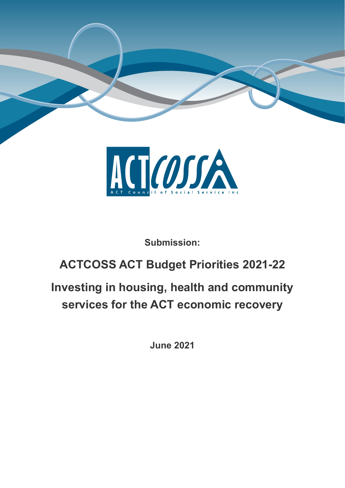



**Submission:**

## **ACTCOSS ACT Budget Priorities 2021-22**

# **Investing in housing, health and community services for the ACT economic recovery**

**June 2021**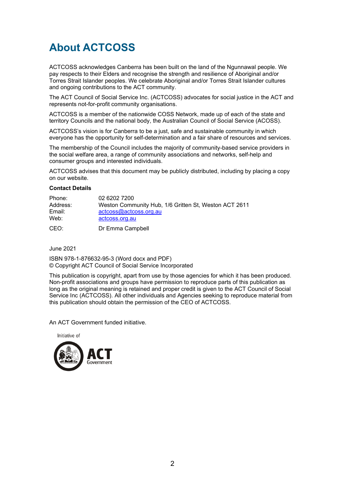### **About ACTCOSS**

ACTCOSS acknowledges Canberra has been built on the land of the Ngunnawal people. We pay respects to their Elders and recognise the strength and resilience of Aboriginal and/or Torres Strait Islander peoples. We celebrate Aboriginal and/or Torres Strait Islander cultures and ongoing contributions to the ACT community.

The ACT Council of Social Service Inc. (ACTCOSS) advocates for social justice in the ACT and represents not-for-profit community organisations.

ACTCOSS is a member of the nationwide COSS Network, made up of each of the state and territory Councils and the national body, the Australian Council of Social Service (ACOSS).

ACTCOSS's vision is for Canberra to be a just, safe and sustainable community in which everyone has the opportunity for self-determination and a fair share of resources and services.

The membership of the Council includes the majority of community-based service providers in the social welfare area, a range of community associations and networks, self-help and consumer groups and interested individuals.

ACTCOSS advises that this document may be publicly distributed, including by placing a copy on our website.

#### **Contact Details**

| Phone:   | 02 6202 7200                                          |
|----------|-------------------------------------------------------|
| Address: | Weston Community Hub, 1/6 Gritten St, Weston ACT 2611 |
| Email:   | actcoss@actcoss.org.au                                |
| Web:     | actcoss.org.au                                        |
| CEO:     | Dr Emma Campbell                                      |

June 2021

ISBN 978-1-876632-95-3 (Word docx and PDF) © Copyright ACT Council of Social Service Incorporated

This publication is copyright, apart from use by those agencies for which it has been produced. Non-profit associations and groups have permission to reproduce parts of this publication as long as the original meaning is retained and proper credit is given to the ACT Council of Social Service Inc (ACTCOSS). All other individuals and Agencies seeking to reproduce material from this publication should obtain the permission of the CEO of ACTCOSS.

An ACT Government funded initiative.

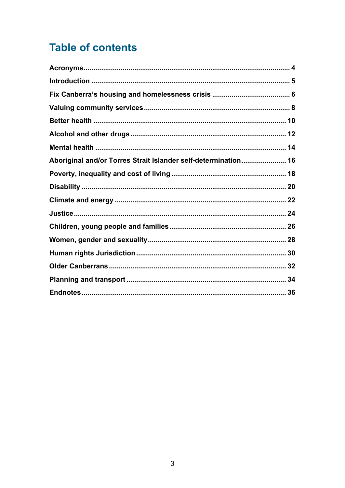## **Table of contents**

| Aboriginal and/or Torres Strait Islander self-determination 16 |  |
|----------------------------------------------------------------|--|
|                                                                |  |
|                                                                |  |
|                                                                |  |
|                                                                |  |
|                                                                |  |
|                                                                |  |
|                                                                |  |
|                                                                |  |
|                                                                |  |
|                                                                |  |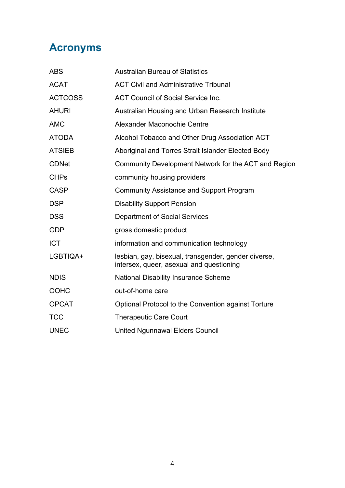### <span id="page-3-0"></span>**Acronyms**

| <b>ABS</b>     | <b>Australian Bureau of Statistics</b>                                                           |
|----------------|--------------------------------------------------------------------------------------------------|
| <b>ACAT</b>    | <b>ACT Civil and Administrative Tribunal</b>                                                     |
| <b>ACTCOSS</b> | <b>ACT Council of Social Service Inc.</b>                                                        |
| <b>AHURI</b>   | Australian Housing and Urban Research Institute                                                  |
| <b>AMC</b>     | Alexander Maconochie Centre                                                                      |
| <b>ATODA</b>   | Alcohol Tobacco and Other Drug Association ACT                                                   |
| <b>ATSIEB</b>  | Aboriginal and Torres Strait Islander Elected Body                                               |
| <b>CDNet</b>   | Community Development Network for the ACT and Region                                             |
| <b>CHPs</b>    | community housing providers                                                                      |
| <b>CASP</b>    | <b>Community Assistance and Support Program</b>                                                  |
| <b>DSP</b>     | <b>Disability Support Pension</b>                                                                |
| <b>DSS</b>     | <b>Department of Social Services</b>                                                             |
| <b>GDP</b>     | gross domestic product                                                                           |
| <b>ICT</b>     | information and communication technology                                                         |
| LGBTIQA+       | lesbian, gay, bisexual, transgender, gender diverse,<br>intersex, queer, asexual and questioning |
| <b>NDIS</b>    | <b>National Disability Insurance Scheme</b>                                                      |
| <b>OOHC</b>    | out-of-home care                                                                                 |
| <b>OPCAT</b>   | Optional Protocol to the Convention against Torture                                              |
| <b>TCC</b>     | <b>Therapeutic Care Court</b>                                                                    |
| <b>UNEC</b>    | <b>United Ngunnawal Elders Council</b>                                                           |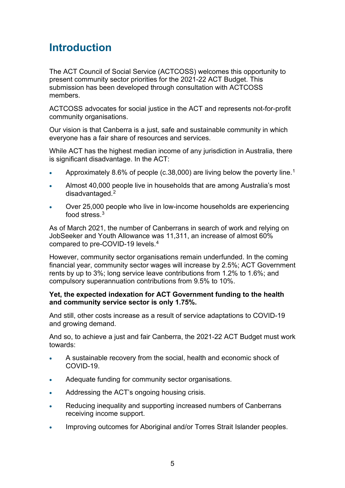### <span id="page-4-0"></span>**Introduction**

The ACT Council of Social Service (ACTCOSS) welcomes this opportunity to present community sector priorities for the 2021-22 ACT Budget. This submission has been developed through consultation with ACTCOSS members.

ACTCOSS advocates for social justice in the ACT and represents not-for-profit community organisations.

Our vision is that Canberra is a just, safe and sustainable community in which everyone has a fair share of resources and services.

While ACT has the highest median income of any jurisdiction in Australia, there is significant disadvantage. In the ACT:

- Approximately 8.6% of people (c.38,000) are living below the poverty line.<sup>[1](#page-35-1)</sup>
- Almost 40,000 people live in households that are among Australia's most disadvantaged. [2](#page-35-2)
- Over 25,000 people who live in low-income households are experiencing food stress.[3](#page-35-3)

As of March 2021, the number of Canberrans in search of work and relying on JobSeeker and Youth Allowance was 11,311, an increase of almost 60% compared to pre-COVID-19 levels.[4](#page-35-4)

However, community sector organisations remain underfunded. In the coming financial year, community sector wages will increase by 2.5%; ACT Government rents by up to 3%; long service leave contributions from 1.2% to 1.6%; and compulsory superannuation contributions from 9.5% to 10%.

#### **Yet, the expected indexation for ACT Government funding to the health and community service sector is only 1.75%.**

And still, other costs increase as a result of service adaptations to COVID-19 and growing demand.

And so, to achieve a just and fair Canberra, the 2021-22 ACT Budget must work towards:

- A sustainable recovery from the social, health and economic shock of COVID-19.
- Adequate funding for community sector organisations.
- Addressing the ACT's ongoing housing crisis.
- Reducing inequality and supporting increased numbers of Canberrans receiving income support.
- Improving outcomes for Aboriginal and/or Torres Strait Islander peoples.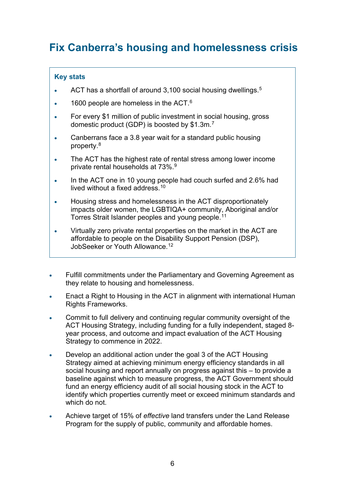### <span id="page-5-0"></span>**Fix Canberra's housing and homelessness crisis**

- ACT has a shortfall of around 3,100 social housing dwellings. $^5$  $^5$
- 1[6](#page-35-6)00 people are homeless in the ACT. $6$
- For every \$1 million of public investment in social housing, gross domestic product (GDP) is boosted by  $$1.3\mathrm{m}.7$  $$1.3\mathrm{m}.7$
- Canberrans face a 3.8 year wait for a standard public housing property. [8](#page-35-8)
- The ACT has the highest rate of rental stress among lower income private rental households at 73%. [9](#page-35-9)
- In the ACT one in 10 young people had couch surfed and 2.6% had lived without a fixed address. [10](#page-35-10)
- Housing stress and homelessness in the ACT disproportionately impacts older women, the LGBTIQA+ community, Aboriginal and/or Torres Strait Islander peoples and young people. [11](#page-35-11)
- Virtually zero private rental properties on the market in the ACT are affordable to people on the Disability Support Pension (DSP), JobSeeker or Youth Allowance. [12](#page-35-12)
- Fulfill commitments under the Parliamentary and Governing Agreement as they relate to housing and homelessness.
- Enact a Right to Housing in the ACT in alignment with international Human Rights Frameworks.
- Commit to full delivery and continuing regular community oversight of the ACT Housing Strategy, including funding for a fully independent, staged 8 year process, and outcome and impact evaluation of the ACT Housing Strategy to commence in 2022.
- Develop an additional action under the goal 3 of the ACT Housing Strategy aimed at achieving minimum energy efficiency standards in all social housing and report annually on progress against this – to provide a baseline against which to measure progress, the ACT Government should fund an energy efficiency audit of all social housing stock in the ACT to identify which properties currently meet or exceed minimum standards and which do not.
- Achieve target of 15% of *effective* land transfers under the Land Release Program for the supply of public, community and affordable homes.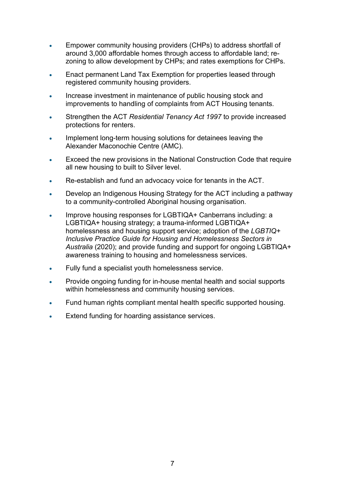- Empower community housing providers (CHPs) to address shortfall of around 3,000 affordable homes through access to affordable land; rezoning to allow development by CHPs; and rates exemptions for CHPs.
- Enact permanent Land Tax Exemption for properties leased through registered community housing providers.
- Increase investment in maintenance of public housing stock and improvements to handling of complaints from ACT Housing tenants.
- Strengthen the ACT *Residential Tenancy Act 1997* to provide increased protections for renters.
- Implement long-term housing solutions for detainees leaving the Alexander Maconochie Centre (AMC).
- Exceed the new provisions in the National Construction Code that require all new housing to built to Silver level.
- Re-establish and fund an advocacy voice for tenants in the ACT.
- Develop an Indigenous Housing Strategy for the ACT including a pathway to a community-controlled Aboriginal housing organisation.
- Improve housing responses for LGBTIQA+ Canberrans including: a LGBTIQA+ housing strategy; a trauma-informed LGBTIQA+ homelessness and housing support service; adoption of the *LGBTIQ+ Inclusive Practice Guide for Housing and Homelessness Sectors in Australia* (2020); and provide funding and support for ongoing LGBTIQA+ awareness training to housing and homelessness services.
- Fully fund a specialist youth homelessness service.
- Provide ongoing funding for in-house mental health and social supports within homelessness and community housing services.
- Fund human rights compliant mental health specific supported housing.
- Extend funding for hoarding assistance services.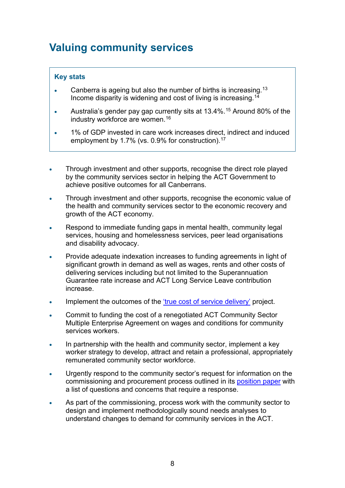### <span id="page-7-0"></span>**Valuing community services**

- $\bullet$  Canberra is ageing but also the number of births is increasing.  $^{13}$  $^{13}$  $^{13}$ Income disparity is widening and cost of living is increasing. [14](#page-35-14)
- Australia's gender pay gap currently sits at 13.4%.<sup>[15](#page-35-15)</sup> Around 80% of the industry workforce are women. [16](#page-35-16)
- 1% of GDP invested in care work increases direct, indirect and induced employment by 1.7% (vs. 0.9% for construction). [17](#page-35-17)
- Through investment and other supports, recognise the direct role played by the community services sector in helping the ACT Government to achieve positive outcomes for all Canberrans.
- Through investment and other supports, recognise the economic value of the health and community services sector to the economic recovery and growth of the ACT economy.
- Respond to immediate funding gaps in mental health, community legal services, housing and homelessness services, peer lead organisations and disability advocacy.
- Provide adequate indexation increases to funding agreements in light of significant growth in demand as well as wages, rents and other costs of delivering services including but not limited to the Superannuation Guarantee rate increase and ACT Long Service Leave contribution increase.
- Implement the outcomes of the ['true cost of service delivery'](https://www.actcoss.org.au/sites/default/files/public/documents/ServiceCostingProjectBrief-20210528.pdf) project.
- Commit to funding the cost of a renegotiated ACT Community Sector Multiple Enterprise Agreement on wages and conditions for community services workers.
- In partnership with the health and community sector, implement a key worker strategy to develop, attract and retain a professional, appropriately remunerated community sector workforce.
- Urgently respond to the community sector's request for information on the commissioning and procurement process outlined in its [position paper](https://www.actcoss.org.au/sites/default/files/public/publications/2021-position-statement-Commissioning-and-Procurement.pdf) with a list of questions and concerns that require a response.
- As part of the commissioning, process work with the community sector to design and implement methodologically sound needs analyses to understand changes to demand for community services in the ACT.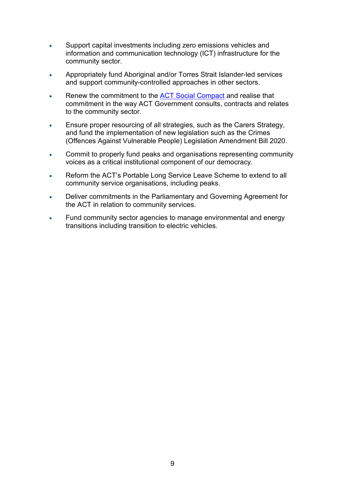- Support capital investments including zero emissions vehicles and information and communication technology (ICT) infrastructure for the community sector.
- Appropriately fund Aboriginal and/or Torres Strait Islander-led services and support community-controlled approaches in other sectors.
- Renew the commitment to the **ACT Social Compact and realise that** commitment in the way ACT Government consults, contracts and relates to the community sector.
- Ensure proper resourcing of all strategies, such as the Carers Strategy, and fund the implementation of new legislation such as the Crimes (Offences Against Vulnerable People) Legislation Amendment Bill 2020.
- Commit to properly fund peaks and organisations representing community voices as a critical institutional component of our democracy.
- Reform the ACT's Portable Long Service Leave Scheme to extend to all community service organisations, including peaks.
- Deliver commitments in the Parliamentary and Governing Agreement for the ACT in relation to community services.
- Fund community sector agencies to manage environmental and energy transitions including transition to electric vehicles.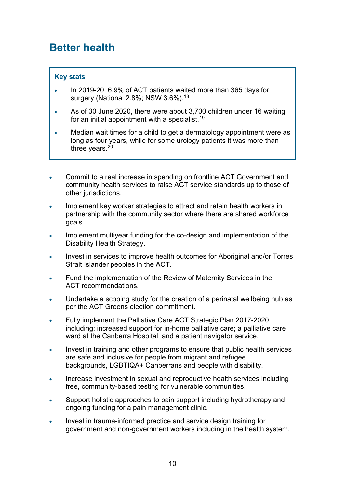### <span id="page-9-0"></span>**Better health**

- In 2019-20, 6.9% of ACT patients waited more than 365 days for surgery (National 2.8%; NSW 3.6%)[.18](#page-35-18)
- As of 30 June 2020, there were about 3,700 children under 16 waiting for an initial appointment with a specialist.<sup>[19](#page-35-19)</sup>
- Median wait times for a child to get a dermatology appointment were as long as four years, while for some urology patients it was more than three years. $20$
- Commit to a real increase in spending on frontline ACT Government and community health services to raise ACT service standards up to those of other jurisdictions.
- Implement key worker strategies to attract and retain health workers in partnership with the community sector where there are shared workforce goals.
- Implement multiyear funding for the co-design and implementation of the Disability Health Strategy.
- Invest in services to improve health outcomes for Aboriginal and/or Torres Strait Islander peoples in the ACT.
- Fund the implementation of the Review of Maternity Services in the ACT recommendations.
- Undertake a scoping study for the creation of a perinatal wellbeing hub as per the ACT Greens election commitment.
- Fully implement the Palliative Care ACT Strategic Plan 2017-2020 including: increased support for in-home palliative care; a palliative care ward at the Canberra Hospital; and a patient navigator service.
- Invest in training and other programs to ensure that public health services are safe and inclusive for people from migrant and refugee backgrounds, LGBTIQA+ Canberrans and people with disability.
- Increase investment in sexual and reproductive health services including free, community-based testing for vulnerable communities.
- Support holistic approaches to pain support including hydrotherapy and ongoing funding for a pain management clinic.
- Invest in trauma-informed practice and service design training for government and non-government workers including in the health system.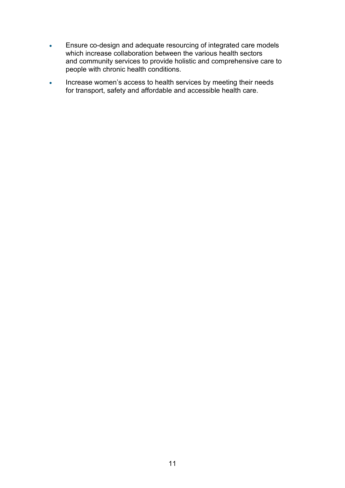- Ensure co-design and adequate resourcing of integrated care models which increase collaboration between the various health sectors and community services to provide holistic and comprehensive care to people with chronic health conditions.
- Increase women's access to health services by meeting their needs for transport, safety and affordable and accessible health care.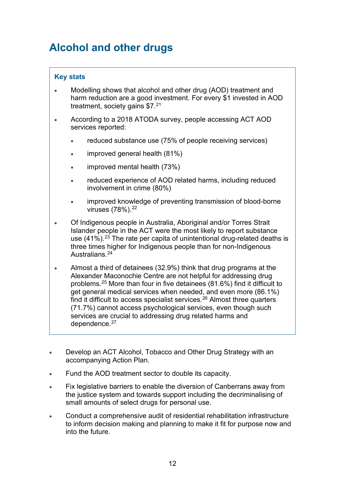### <span id="page-11-0"></span>**Alcohol and other drugs**

- Modelling shows that alcohol and other drug (AOD) treatment and harm reduction are a good investment. For every \$1 invested in AOD treatment, society gains \$7. [21](#page-36-0)
- According to a 2018 [ATODA](http://www.atoda.org.au/) survey, people accessing ACT AOD services reported:
	- reduced substance use (75% of people receiving services)
	- improved general health (81%)
	- improved mental health (73%)
	- reduced experience of AOD related harms, including reduced involvement in crime (80%)
	- improved knowledge of preventing transmission of blood-borne viruses (78%).[22](#page-36-1)
- Of Indigenous people in Australia, Aboriginal and/or Torres Strait Islander people in the ACT were the most likely to report substance use  $(41\%)$ .<sup>[23](#page-36-2)</sup> The rate per capita of unintentional drug-related deaths is three times higher for Indigenous people than for non-Indigenous Australians[.24](#page-36-3)
- Almost a third of detainees (32.9%) think that drug programs at the Alexander Maconochie Centre are not helpful for addressing drug problems.[25](#page-36-4) More than four in five detainees (81.6%) find it difficult to get general medical services when needed, and even more (86.1%) find it difficult to access specialist services. $26$  Almost three quarters (71.7%) cannot access psychological services, even though such services are crucial to addressing drug related harms and dependence.<sup>[27](#page-36-6)</sup>
- Develop an ACT Alcohol, Tobacco and Other Drug Strategy with an accompanying Action Plan.
- Fund the AOD treatment sector to double its capacity.
- Fix legislative barriers to enable the diversion of Canberrans away from the justice system and towards support including the decriminalising of small amounts of select drugs for personal use.
- Conduct a comprehensive audit of residential rehabilitation infrastructure to inform decision making and planning to make it fit for purpose now and into the future.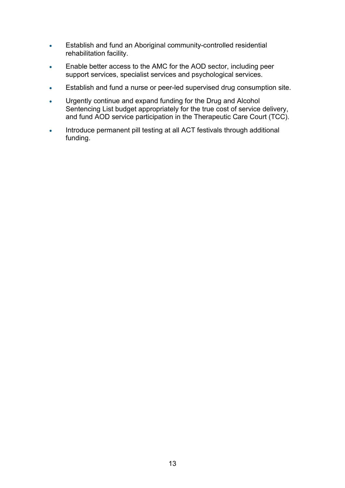- Establish and fund an Aboriginal community-controlled residential rehabilitation facility.
- Enable better access to the AMC for the AOD sector, including peer support services, specialist services and psychological services.
- Establish and fund a nurse or peer-led supervised drug consumption site.
- Urgently continue and expand funding for the Drug and Alcohol Sentencing List budget appropriately for the true cost of service delivery, and fund AOD service participation in the Therapeutic Care Court (TCC).
- Introduce permanent pill testing at all ACT festivals through additional funding.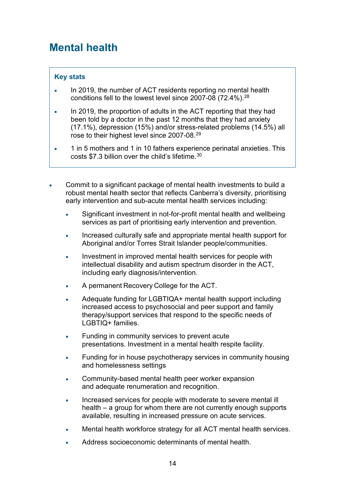### <span id="page-13-0"></span>**Mental health**

- In 2019, the number of ACT residents reporting no mental health conditions fell to the lowest level since 2007-08 (72.4%).<sup>[28](#page-36-7)</sup>
- In 2019, the proportion of adults in the ACT reporting that they had been told by a doctor in the past 12 months that they had anxiety (17.1%), depression (15%) and/or stress-related problems (14.5%) all rose to their highest level since 2007-08. [29](#page-36-8)
- 1 in 5 mothers and 1 in 10 fathers experience perinatal anxieties. This costs \$7.3 billion over the child's lifetime.[30](#page-36-9)
- Commit to a significant package of mental health investments to build a robust mental health sector that reflects Canberra's diversity, prioritising early intervention and sub-acute mental health services including:
	- Significant investment in not-for-profit mental health and wellbeing services as part of prioritising early intervention and prevention.
	- Increased culturally safe and appropriate mental health support for Aboriginal and/or Torres Strait Islander people/communities.
	- Investment in improved mental health services for people with intellectual disability and autism spectrum disorder in the ACT, including early diagnosis/intervention.
	- A permanent Recovery College for the ACT.
	- Adequate funding for LGBTIQA+ mental health support including increased access to psychosocial and peer support and family therapy/support services that respond to the specific needs of LGBTIQ+ families.
	- Funding in community services to prevent acute presentations. Investment in a mental health respite facility.
	- Funding for in house psychotherapy services in community housing and homelessness settings
	- Community-based mental health peer worker expansion and adequate renumeration and recognition.
	- Increased services for people with moderate to severe mental ill health – a group for whom there are not currently enough supports available, resulting in increased pressure on acute services.
	- Mental health workforce strategy for all ACT mental health services.
	- Address socioeconomic determinants of mental health.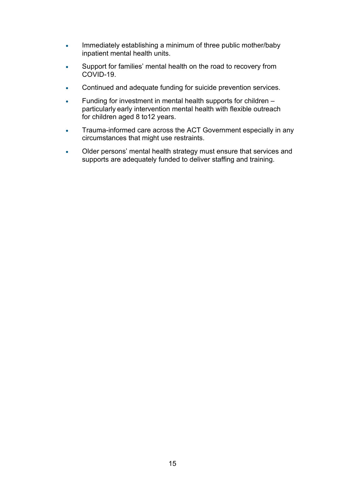- Immediately establishing a minimum of three public mother/baby inpatient mental health units.
- Support for families' mental health on the road to recovery from COVID-19.
- Continued and adequate funding for suicide prevention services.
- Funding for investment in mental health supports for children particularly early intervention mental health with flexible outreach for children aged 8 to12 years.
- Trauma-informed care across the ACT Government especially in any circumstances that might use restraints.
- Older persons' mental health strategy must ensure that services and supports are adequately funded to deliver staffing and training.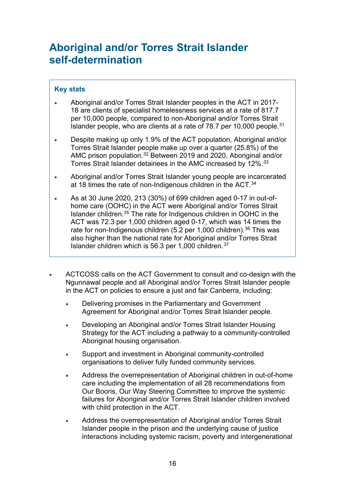### <span id="page-15-0"></span>**Aboriginal and/or Torres Strait Islander self-determination**

- Aboriginal and/or Torres Strait Islander peoples in the ACT in 2017- 18 are clients of specialist homelessness services at a rate of 817.7 per 10,000 people, compared to non-Aboriginal and/or Torres Strait Islander people, who are clients at a rate of 78.7 per 10,000 people.<sup>[31](#page-36-10)</sup>
- Despite making up only 1.9% of the ACT population, Aboriginal and/or Torres Strait Islander people make up over a quarter (25.8%) of the AMC prison population. [32](#page-36-11) Between 2019 and 2020, Aboriginal and/or Torres Strait Islander detainees in the AMC increased by 12%. [33](#page-36-12)
- Aboriginal and/or Torres Strait Islander young people are incarcerated at 18 times the rate of non-Indigenous children in the ACT. $^{\rm 34}$  $^{\rm 34}$  $^{\rm 34}$
- As at 30 June 2020, 213 (30%) of 699 children aged 0-17 in out-ofhome care (OOHC) in the ACT were Aboriginal and/or Torres Strait Islander children. [35](#page-36-14) The rate for Indigenous children in OOHC in the ACT was 72.3 per 1,000 children aged 0-17, which was 14 times the rate for non-Indigenous children (5.2 per 1,000 children).<sup>[36](#page-36-15)</sup> This was also higher than the national rate for Aboriginal and/or Torres Strait Islander children which is 56.3 per 1,000 children. [37](#page-36-16)
- ACTCOSS calls on the ACT Government to consult and co-design with the Ngunnawal people and all Aboriginal and/or Torres Strait Islander people in the ACT on policies to ensure a just and fair Canberra, including:
	- Delivering promises in the Parliamentary and Government Agreement for Aboriginal and/or Torres Strait Islander people.
	- Developing an Aboriginal and/or Torres Strait Islander Housing Strategy for the ACT including a pathway to a community-controlled Aboriginal housing organisation.
	- Support and investment in Aboriginal community-controlled organisations to deliver fully funded community services.
	- Address the overrepresentation of Aboriginal children in out-of-home care including the implementation of all 28 recommendations from Our Booris, Our Way Steering Committee to improve the systemic failures for Aboriginal and/or Torres Strait Islander children involved with child protection in the ACT.
	- Address the overrepresentation of Aboriginal and/or Torres Strait Islander people in the prison and the underlying cause of justice interactions including systemic racism, poverty and intergenerational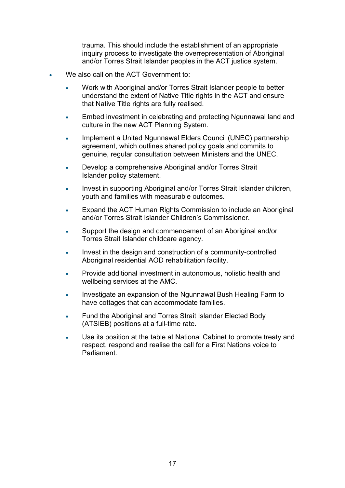trauma. This should include the establishment of an appropriate inquiry process to investigate the overrepresentation of Aboriginal and/or Torres Strait Islander peoples in the ACT justice system.

- We also call on the ACT Government to:
	- Work with Aboriginal and/or Torres Strait Islander people to better understand the extent of Native Title rights in the ACT and ensure that Native Title rights are fully realised.
	- Embed investment in celebrating and protecting Ngunnawal land and culture in the new ACT Planning System.
	- Implement a United Ngunnawal Elders Council (UNEC) partnership agreement, which outlines shared policy goals and commits to genuine, regular consultation between Ministers and the UNEC.
	- Develop a comprehensive Aboriginal and/or Torres Strait Islander policy statement.
	- Invest in supporting Aboriginal and/or Torres Strait Islander children, youth and families with measurable outcomes.
	- Expand the ACT Human Rights Commission to include an Aboriginal and/or Torres Strait Islander Children's Commissioner.
	- Support the design and commencement of an Aboriginal and/or Torres Strait Islander childcare agency.
	- Invest in the design and construction of a community-controlled Aboriginal residential AOD rehabilitation facility.
	- Provide additional investment in autonomous, holistic health and wellbeing services at the AMC.
	- Investigate an expansion of the Ngunnawal Bush Healing Farm to have cottages that can accommodate families.
	- Fund the Aboriginal and Torres Strait Islander Elected Body (ATSIEB) positions at a full-time rate.
	- Use its position at the table at National Cabinet to promote treaty and respect, respond and realise the call for a First Nations voice to Parliament.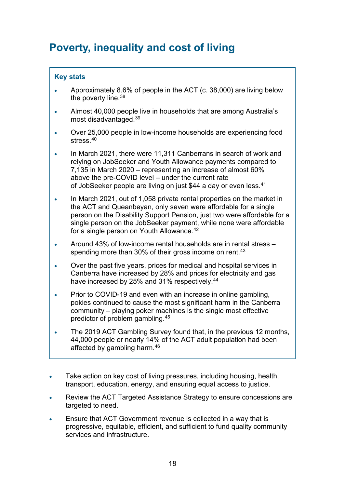### <span id="page-17-0"></span>**Poverty, inequality and cost of living**

- Approximately 8.6% of people in the ACT (c. 38,000) are living below the poverty line.<sup>[38](#page-36-17)</sup>
- Almost 40,000 people live in households that are among Australia's most disadvantaged. [39](#page-36-18)
- Over 25,000 people in low-income households are experiencing food stress. [40](#page-36-19)
- In March 2021, there were 11,311 Canberrans in search of work and relying on JobSeeker and Youth Allowance payments compared to 7,135 in March 2020 – representing an increase of almost 60% above the pre-COVID level – under the current rate of JobSeeker people are living on just \$44 a day or even less. [41](#page-36-20)
- In March 2021, out of 1,058 private rental properties on the market in the ACT and Queanbeyan, only seven were affordable for a single person on the Disability Support Pension, just two were affordable for a single person on the JobSeeker payment, while none were affordable for a single person on Youth Allowance. [42](#page-36-21)
- Around 43% of low-income rental households are in rental stress spending more than 30% of their gross income on rent. [43](#page-36-22)
- Over the past five years, prices for medical and hospital services in Canberra have increased by 28% and prices for electricity and gas have increased by 25% and 31% respectively. [44](#page-36-23)
- Prior to COVID-19 and even with an increase in online gambling, pokies continued to cause the most significant harm in the Canberra community – playing poker machines is the single most effective predictor of problem gambling. [45](#page-36-24)
- The 2019 ACT Gambling Survey found that, in the previous 12 months, 44,000 people or nearly 14% of the ACT adult population had been affected by gambling harm. [46](#page-36-25)
- Take action on key cost of living pressures, including housing, health, transport, education, energy, and ensuring equal access to justice.
- Review the ACT Targeted Assistance Strategy to ensure concessions are targeted to need.
- Ensure that ACT Government revenue is collected in a way that is progressive, equitable, efficient, and sufficient to fund quality community services and infrastructure.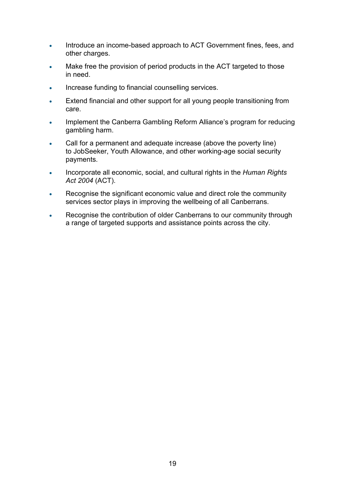- Introduce an income-based approach to ACT Government fines, fees, and other charges.
- Make free the provision of period products in the ACT targeted to those in need.
- Increase funding to financial counselling services.
- Extend financial and other support for all young people transitioning from care.
- Implement the Canberra Gambling Reform Alliance's program for reducing gambling harm.
- Call for a permanent and adequate increase (above the poverty line) to JobSeeker, Youth Allowance, and other working-age social security payments.
- Incorporate all economic, social, and cultural rights in the *Human Rights Act 2004* (ACT).
- Recognise the significant economic value and direct role the community services sector plays in improving the wellbeing of all Canberrans.
- Recognise the contribution of older Canberrans to our community through a range of targeted supports and assistance points across the city.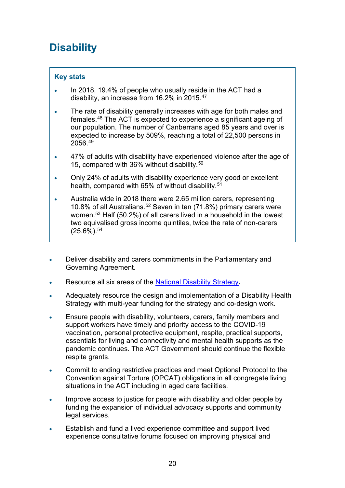## <span id="page-19-0"></span>**Disability**

- In 2018, 19.4% of people who usually reside in the ACT had a disability, an increase from 16.2% in 2015. [47](#page-36-26)
- The rate of disability generally increases with age for both males and females. [48](#page-36-27) The ACT is expected to experience a significant ageing of our population. The number of Canberrans aged 85 years and over is expected to increase by 509%, reaching a total of 22,500 persons in 2056. [49](#page-37-0)
- 47% of adults with disability have experienced violence after the age of 15, compared with 36% without disability. [50](#page-37-1)
- Only 24% of adults with disability experience very good or excellent health, compared with 65% of without disability. [51](#page-37-2)
- Australia wide in 2018 there were 2.65 million carers, representing 10.8% of all Australians. [52](#page-37-3) Seven in ten (71.8%) primary carers were women. [53](#page-37-4) Half (50.2%) of all carers lived in a household in the lowest two equivalised gross income quintiles, twice the rate of non-carers  $(25.6\%)$ .<sup>[54](#page-37-5)</sup>
- Deliver disability and carers commitments in the Parliamentary and Governing Agreement.
- Resource all six areas of the [National Disability Strategy](https://www.dss.gov.au/disability-and-carers/a-new-national-disability-strategy).
- Adequately resource the design and implementation of a Disability Health Strategy with multi-year funding for the strategy and co-design work.
- Ensure people with disability, volunteers, carers, family members and support workers have timely and priority access to the COVID-19 vaccination, personal protective equipment, respite, practical supports, essentials for living and connectivity and mental health supports as the pandemic continues. The ACT Government should continue the flexible respite grants.
- Commit to ending restrictive practices and meet Optional Protocol to the Convention against Torture (OPCAT) obligations in all congregate living situations in the ACT including in aged care facilities.
- Improve access to justice for people with disability and older people by funding the expansion of individual advocacy supports and community legal services.
- Establish and fund a lived experience committee and support lived experience consultative forums focused on improving physical and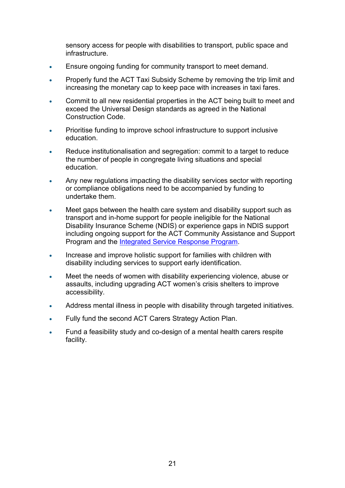sensory access for people with disabilities to transport, public space and infrastructure.

- Ensure ongoing funding for community transport to meet demand.
- Properly fund the ACT Taxi Subsidy Scheme by removing the trip limit and increasing the monetary cap to keep pace with increases in taxi fares.
- Commit to all new residential properties in the ACT being built to meet and exceed the Universal Design standards as agreed in the National Construction Code.
- Prioritise funding to improve school infrastructure to support inclusive education.
- Reduce institutionalisation and segregation: commit to a target to reduce the number of people in congregate living situations and special education.
- Any new regulations impacting the disability services sector with reporting or compliance obligations need to be accompanied by funding to undertake them.
- Meet gaps between the health care system and disability support such as transport and in-home support for people ineligible for the National Disability Insurance Scheme (NDIS) or experience gaps in NDIS support including ongoing support for the ACT Community Assistance and Support Program and the [Integrated Service Response Program.](https://www.communityservices.act.gov.au/disability_act/integrated-service-response-program)
- Increase and improve holistic support for families with children with disability including services to support early identification.
- Meet the needs of women with disability experiencing violence, abuse or assaults, including upgrading ACT women's crisis shelters to improve accessibility.
- Address mental illness in people with disability through targeted initiatives.
- Fully fund the second ACT Carers Strategy Action Plan.
- Fund a feasibility study and co-design of a mental health carers respite facility.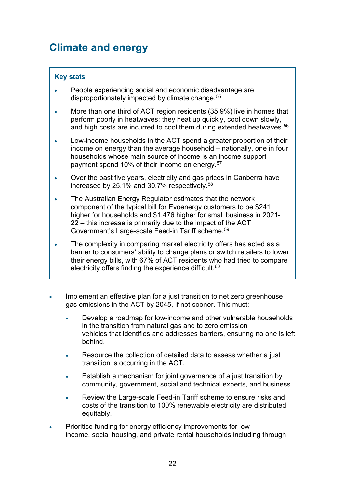### <span id="page-21-0"></span>**Climate and energy**

- People experiencing social and economic disadvantage are disproportionately impacted by climate change. [55](#page-37-6)
- More than one third of ACT region residents (35.9%) live in homes that perform poorly in heatwaves: they heat up quickly, cool down slowly, and high costs are incurred to cool them during extended heatwaves. [56](#page-37-7)
- Low-income households in the ACT spend a greater proportion of their income on energy than the average household – nationally, one in four households whose main source of income is an income support payment spend 10% of their income on energy. [57](#page-37-8)
- Over the past five years, electricity and gas prices in Canberra have increased by 25.1% and 30.7% respectively. [58](#page-37-9)
- The Australian Energy Regulator estimates that the network component of the typical bill for Evoenergy customers to be \$241 higher for households and \$1,476 higher for small business in 2021- 22 – this increase is primarily due to the impact of the ACT Government's Large-scale Feed-in Tariff scheme. [59](#page-37-10)
- The complexity in comparing market electricity offers has acted as a barrier to consumers' ability to change plans or switch retailers to lower their energy bills, with 67% of ACT residents who had tried to compare electricity offers finding the experience difficult.<sup>[60](#page-37-11)</sup>
- Implement an effective plan for a just transition to net zero greenhouse gas emissions in the ACT by 2045, if not sooner. This must:
	- Develop a roadmap for low-income and other vulnerable households in the transition from natural gas and to zero emission vehicles that identifies and addresses barriers, ensuring no one is left behind.
	- Resource the collection of detailed data to assess whether a just transition is occurring in the ACT.
	- Establish a mechanism for joint governance of a just transition by community, government, social and technical experts, and business.
	- Review the Large-scale Feed-in Tariff scheme to ensure risks and costs of the transition to 100% renewable electricity are distributed equitably.
- Prioritise funding for energy efficiency improvements for lowincome, social housing, and private rental households including through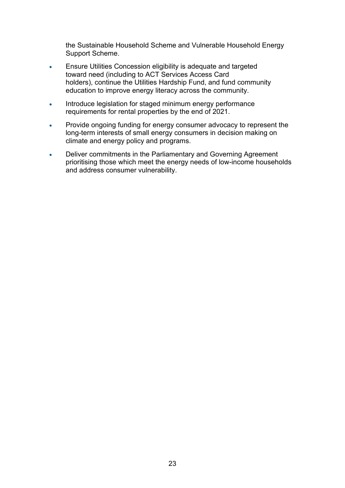the Sustainable Household Scheme and Vulnerable Household Energy Support Scheme.

- Ensure Utilities Concession eligibility is adequate and targeted toward need (including to ACT Services Access Card holders), continue the Utilities Hardship Fund, and fund community education to improve energy literacy across the community.
- Introduce legislation for staged minimum energy performance requirements for rental properties by the end of 2021.
- Provide ongoing funding for energy consumer advocacy to represent the long-term interests of small energy consumers in decision making on climate and energy policy and programs.
- Deliver commitments in the Parliamentary and Governing Agreement prioritising those which meet the energy needs of low-income households and address consumer vulnerability.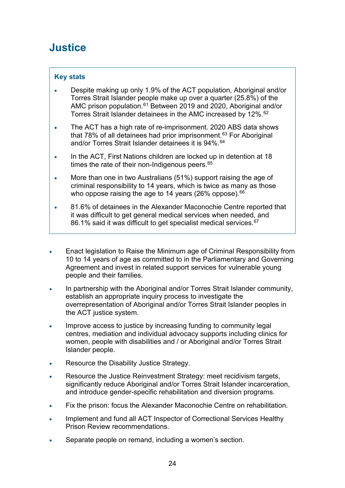### <span id="page-23-0"></span>**Justice**

- Despite making up only 1.9% of the ACT population, Aboriginal and/or Torres Strait Islander people make up over a quarter (25.8%) of the AMC prison population.[61](#page-37-12) Between 2019 and 2020, Aboriginal and/or Torres Strait Islander detainees in the AMC increased by 12%. [62](#page-37-13)
- The ACT has a high rate of re-imprisonment. 2020 ABS data shows that 78% of all detainees had prior imprisonment. [63](#page-37-14) For Aboriginal and/or Torres Strait Islander detainees it is 94%. [64](#page-37-15)
- In the ACT, First Nations children are locked up in detention at 18 times the rate of their non-Indigenous peers. [65](#page-37-16)
- More than one in two Australians (51%) support raising the age of criminal responsibility to 14 years, which is twice as many as those who oppose raising the age to 14 years (26% oppose).<sup>[66](#page-37-17)</sup>
- 81.6% of detainees in the Alexander Maconochie Centre reported that it was difficult to get general medical services when needed, and  $86.1\%$  said it was difficult to get specialist medical services. $^{67}$  $^{67}$  $^{67}$
- Enact legislation to Raise the Minimum age of Criminal Responsibility from 10 to 14 years of age as committed to in the Parliamentary and Governing Agreement and invest in related support services for vulnerable young people and their families.
- In partnership with the Aboriginal and/or Torres Strait Islander community, establish an appropriate inquiry process to investigate the overrepresentation of Aboriginal and/or Torres Strait Islander peoples in the ACT justice system.
- Improve access to justice by increasing funding to community legal centres, mediation and individual advocacy supports including clinics for women, people with disabilities and / or Aboriginal and/or Torres Strait Islander people.
- Resource the Disability Justice Strategy.
- Resource the Justice Reinvestment Strategy: meet recidivism targets, significantly reduce Aboriginal and/or Torres Strait Islander incarceration, and introduce gender-specific rehabilitation and diversion programs.
- Fix the prison: focus the Alexander Maconochie Centre on rehabilitation.
- Implement and fund all ACT Inspector of Correctional Services Healthy Prison Review recommendations.
- Separate people on remand, including a women's section.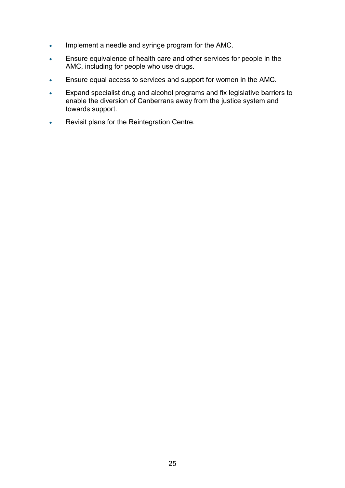- Implement a needle and syringe program for the AMC.
- Ensure equivalence of health care and other services for people in the AMC, including for people who use drugs.
- Ensure equal access to services and support for women in the AMC.
- Expand specialist drug and alcohol programs and fix legislative barriers to enable the diversion of Canberrans away from the justice system and towards support.
- Revisit plans for the Reintegration Centre.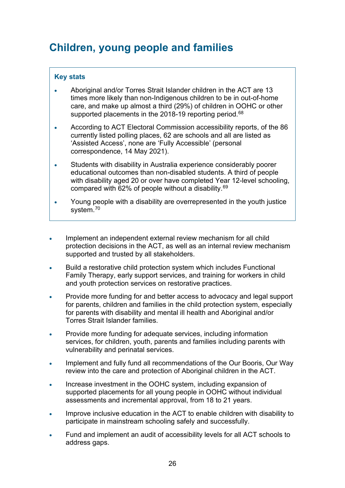### <span id="page-25-0"></span>**Children, young people and families**

- Aboriginal and/or Torres Strait Islander children in the ACT are 13 times more likely than non-Indigenous children to be in out-of-home care, and make up almost a third (29%) of children in OOHC or other supported placements in the 2018-19 reporting period.<sup>[68](#page-37-19)</sup>
- According to ACT Electoral Commission accessibility reports, of the 86 currently listed polling places, 62 are schools and all are listed as 'Assisted Access', none are 'Fully Accessible' (personal correspondence, 14 May 2021).
- Students with disability in Australia experience considerably poorer educational outcomes than non-disabled students. A third of people with disability aged 20 or over have completed Year 12-level schooling, compared with 62% of people without a disability. [69](#page-37-20)
- Young people with a disability are overrepresented in the youth justice system. [70](#page-37-21)
- Implement an independent external review mechanism for all child protection decisions in the ACT, as well as an internal review mechanism supported and trusted by all stakeholders.
- Build a restorative child protection system which includes Functional Family Therapy, early support services, and training for workers in child and youth protection services on restorative practices.
- Provide more funding for and better access to advocacy and legal support for parents, children and families in the child protection system, especially for parents with disability and mental ill health and Aboriginal and/or Torres Strait Islander families.
- Provide more funding for adequate services, including information services, for children, youth, parents and families including parents with vulnerability and perinatal services.
- Implement and fully fund all recommendations of the Our Booris, Our Way review into the care and protection of Aboriginal children in the ACT.
- Increase investment in the OOHC system, including expansion of supported placements for all young people in OOHC without individual assessments and incremental approval, from 18 to 21 years.
- Improve inclusive education in the ACT to enable children with disability to participate in mainstream schooling safely and successfully.
- Fund and implement an audit of accessibility levels for all ACT schools to address gaps.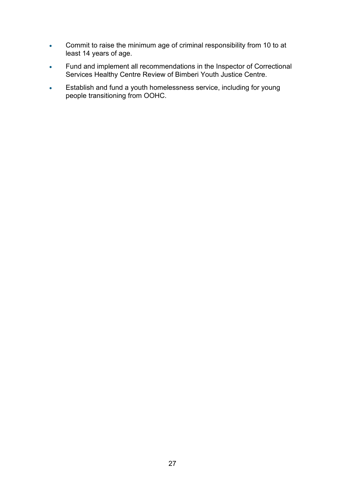- Commit to raise the minimum age of criminal responsibility from 10 to at least 14 years of age.
- Fund and implement all recommendations in the Inspector of Correctional Services Healthy Centre Review of Bimberi Youth Justice Centre.
- Establish and fund a youth homelessness service, including for young people transitioning from OOHC.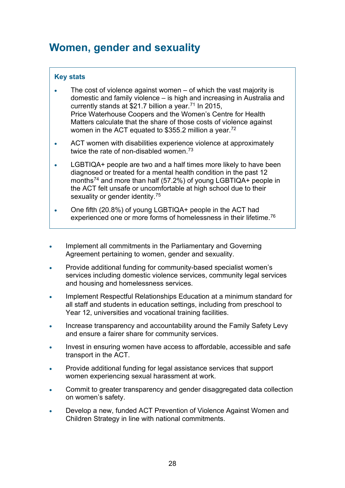### <span id="page-27-0"></span>**Women, gender and sexuality**

- The cost of violence against women  $-$  of which the vast majority is domestic and family violence – is high and increasing in Australia and currently stands at \$21.7 billion a year.<sup>[71](#page-37-22)</sup> In 2015, Price Waterhouse Coopers and the Women's Centre for Health Matters calculate that the share of those costs of violence against women in the ACT equated to \$355.2 million a year. $^\mathrm{72}$  $^\mathrm{72}$  $^\mathrm{72}$
- ACT women with disabilities experience violence at approximately twice the rate of non-disabled women. [73](#page-37-24)
- LGBTIQA+ people are two and a half times more likely to have been diagnosed or treated for a mental health condition in the past 12 months<sup>[74](#page-37-25)</sup> and more than half (57.2%) of young LGBTIQA+ people in the ACT felt unsafe or uncomfortable at high school due to their sexuality or gender identity.<sup>[75](#page-37-26)</sup>
- One fifth (20.8%) of young LGBTIQA+ people in the ACT had experienced one or more forms of homelessness in their lifetime. [76](#page-37-27)
- Implement all commitments in the Parliamentary and Governing Agreement pertaining to women, gender and sexuality.
- Provide additional funding for community-based specialist women's services including domestic violence services, community legal services and housing and homelessness services.
- Implement Respectful Relationships Education at a minimum standard for all staff and students in education settings, including from preschool to Year 12, universities and vocational training facilities.
- Increase transparency and accountability around the Family Safety Levy and ensure a fairer share for community services.
- Invest in ensuring women have access to affordable, accessible and safe transport in the ACT.
- Provide additional funding for legal assistance services that support women experiencing sexual harassment at work.
- Commit to greater transparency and gender disaggregated data collection on women's safety.
- Develop a new, funded ACT Prevention of Violence Against Women and Children Strategy in line with national commitments.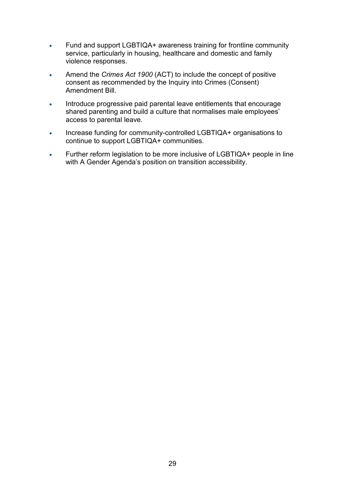- Fund and support LGBTIQA+ awareness training for frontline community service, particularly in housing, healthcare and domestic and family violence responses.
- Amend the *Crimes Act 1900* (ACT) to include the concept of positive consent as recommended by the Inquiry into Crimes (Consent) Amendment Bill.
- Introduce progressive paid parental leave entitlements that encourage shared parenting and build a culture that normalises male employees' access to parental leave.
- Increase funding for community-controlled LGBTIQA+ organisations to continue to support LGBTIQA+ communities.
- Further reform legislation to be more inclusive of LGBTIQA+ people in line with A Gender Agenda's position on transition accessibility.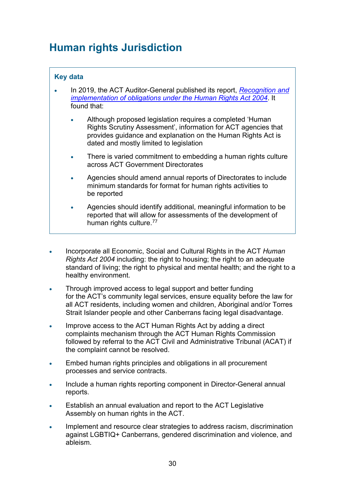### <span id="page-29-0"></span>**Human rights Jurisdiction**

### **Key data**

- In 2019, the ACT Auditor-General published its report, *[Recognition and](https://www.audit.act.gov.au/__data/assets/pdf_file/0018/1322460/Report-No-2-of-2019-Recognition-and-implementation-of-obligations-under-the-HRA-2004.pdf)  [implementation of obligations under the Human Rights Act 2004](https://www.audit.act.gov.au/__data/assets/pdf_file/0018/1322460/Report-No-2-of-2019-Recognition-and-implementation-of-obligations-under-the-HRA-2004.pdf)*. It found that:
	- Although proposed legislation requires a completed 'Human Rights Scrutiny Assessment', information for ACT agencies that provides guidance and explanation on the Human Rights Act is dated and mostly limited to legislation
	- There is varied commitment to embedding a human rights culture across ACT Government Directorates
	- Agencies should amend annual reports of Directorates to include minimum standards for format for human rights activities to be reported
	- Agencies should identify additional, meaningful information to be reported that will allow for assessments of the development of human rights culture.[77](#page-38-0)
- Incorporate all Economic, Social and Cultural Rights in the ACT *Human Rights Act 2004* including: the right to housing; the right to an adequate standard of living; the right to physical and mental health; and the right to a healthy environment.
- Through improved access to legal support and better funding for the ACT's community legal services, ensure equality before the law for all ACT residents, including women and children, Aboriginal and/or Torres Strait Islander people and other Canberrans facing legal disadvantage.
- Improve access to the ACT Human Rights Act by adding a direct complaints mechanism through the ACT Human Rights Commission followed by referral to the ACT Civil and Administrative Tribunal (ACAT) if the complaint cannot be resolved.
- Embed human rights principles and obligations in all procurement processes and service contracts.
- Include a human rights reporting component in Director-General annual reports.
- Establish an annual evaluation and report to the ACT Legislative Assembly on human rights in the ACT.
- Implement and resource clear strategies to address racism, discrimination against LGBTIQ+ Canberrans, gendered discrimination and violence, and ableism.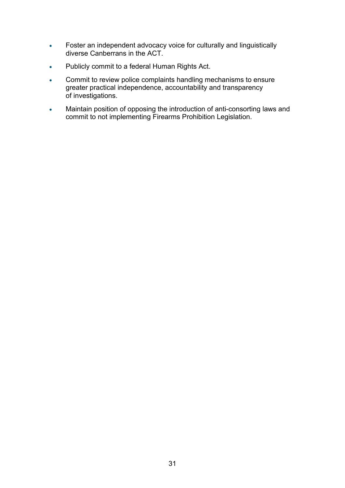- Foster an independent advocacy voice for culturally and linguistically diverse Canberrans in the ACT.
- Publicly commit to a federal Human Rights Act.
- Commit to review police complaints handling mechanisms to ensure greater practical independence, accountability and transparency of investigations.
- Maintain position of opposing the introduction of anti-consorting laws and commit to not implementing Firearms Prohibition Legislation.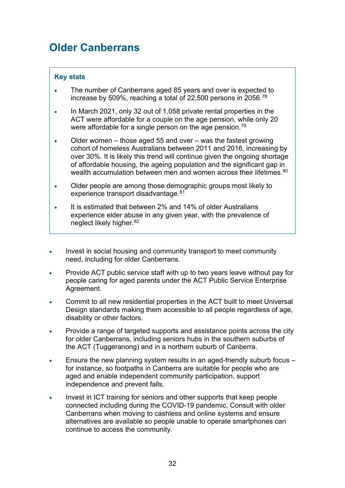### <span id="page-31-0"></span>**Older Canberrans**

- The number of Canberrans aged 85 years and over is expected to increase by 509%, reaching a total of 22,500 persons in 2056. $^{78}$  $^{78}$  $^{78}$
- In March 2021, only 32 out of 1,058 private rental properties in the ACT were affordable for a couple on the age pension, while only 20 were affordable for a single person on the age pension. $^{\rm 79}$  $^{\rm 79}$  $^{\rm 79}$
- Older women those aged 55 and over was the fastest growing cohort of homeless Australians between 2011 and 2016, increasing by over 30%. It is likely this trend will continue given the ongoing shortage of affordable housing, the ageing population and the significant gap in wealth accumulation between men and women across their lifetimes. [80](#page-38-3)
- Older people are among those demographic groups most likely to experience transport disadvantage. [81](#page-38-4)
- It is estimated that between 2% and 14% of older Australians experience elder abuse in any given year, with the prevalence of neglect likely higher. [82](#page-38-5)
- Invest in social housing and community transport to meet community need, including for older Canberrans.
- Provide ACT public service staff with up to two years leave without pay for people caring for aged parents under the ACT Public Service Enterprise Agreement.
- Commit to all new residential properties in the ACT built to meet Universal Design standards making them accessible to all people regardless of age, disability or other factors.
- Provide a range of targeted supports and assistance points across the city for older Canberrans, including seniors hubs in the southern suburbs of the ACT (Tuggeranong) and in a northern suburb of Canberra.
- Ensure the new planning system results in an aged-friendly suburb focus for instance, so footpaths in Canberra are suitable for people who are aged and enable independent community participation, support independence and prevent falls.
- Invest in ICT training for seniors and other supports that keep people connected including during the COVID-19 pandemic. Consult with older Canberrans when moving to cashless and online systems and ensure alternatives are available so people unable to operate smartphones can continue to access the community.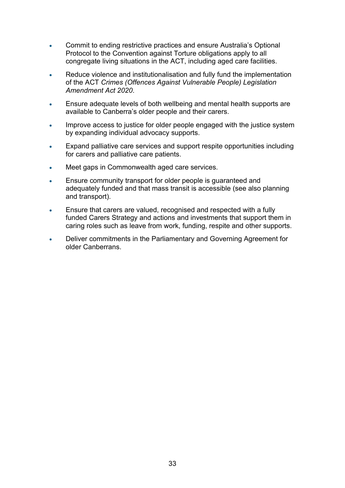- Commit to ending restrictive practices and ensure Australia's Optional Protocol to the Convention against Torture obligations apply to all congregate living situations in the ACT, including aged care facilities.
- Reduce violence and institutionalisation and fully fund the implementation of the ACT *Crimes (Offences Against Vulnerable People) Legislation Amendment Act 2020*.
- Ensure adequate levels of both wellbeing and mental health supports are available to Canberra's older people and their carers.
- Improve access to justice for older people engaged with the justice system by expanding individual advocacy supports.
- Expand palliative care services and support respite opportunities including for carers and palliative care patients.
- Meet gaps in Commonwealth aged care services.
- Ensure community transport for older people is guaranteed and adequately funded and that mass transit is accessible (see also planning and transport).
- Ensure that carers are valued, recognised and respected with a fully funded Carers Strategy and actions and investments that support them in caring roles such as leave from work, funding, respite and other supports.
- Deliver commitments in the Parliamentary and Governing Agreement for older Canberrans.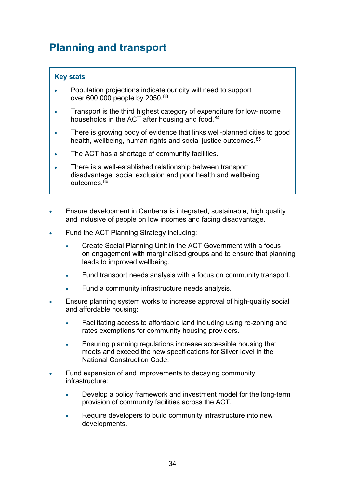### <span id="page-33-0"></span>**Planning and transport**

- Population projections indicate our city will need to support over 600,000 people by 2050. [83](#page-38-6)
- Transport is the third highest category of expenditure for low-income households in the ACT after housing and food. [84](#page-38-7)
- There is growing body of evidence that links well-planned cities to good health, wellbeing, human rights and social justice outcomes.<sup>[85](#page-38-8)</sup>
- The ACT has a shortage of community facilities.
- There is a well-established relationship between transport disadvantage, social exclusion and poor health and wellbeing outcomes. [86](#page-38-9)
- Ensure development in Canberra is integrated, sustainable, high quality and inclusive of people on low incomes and facing disadvantage.
- Fund the ACT Planning Strategy including:
	- Create Social Planning Unit in the ACT Government with a focus on engagement with marginalised groups and to ensure that planning leads to improved wellbeing.
	- Fund transport needs analysis with a focus on community transport.
	- Fund a community infrastructure needs analysis.
- Ensure planning system works to increase approval of high-quality social and affordable housing:
	- Facilitating access to affordable land including using re-zoning and rates exemptions for community housing providers.
	- Ensuring planning regulations increase accessible housing that meets and exceed the new specifications for Silver level in the National Construction Code.
- Fund expansion of and improvements to decaying community infrastructure:
	- Develop a policy framework and investment model for the long-term provision of community facilities across the ACT.
	- Require developers to build community infrastructure into new developments.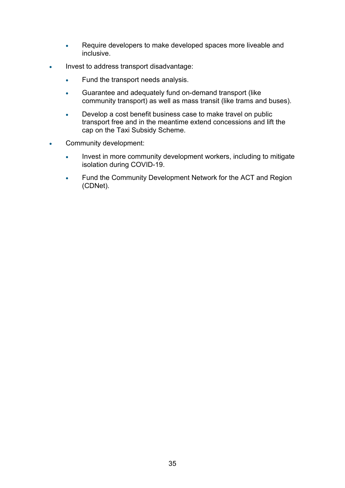- Require developers to make developed spaces more liveable and inclusive.
- Invest to address transport disadvantage:
	- Fund the transport needs analysis.
	- Guarantee and adequately fund on-demand transport (like community transport) as well as mass transit (like trams and buses).
	- Develop a cost benefit business case to make travel on public transport free and in the meantime extend concessions and lift the cap on the Taxi Subsidy Scheme.
- Community development:
	- Invest in more community development workers, including to mitigate isolation during COVID-19.
	- Fund the Community Development Network for the ACT and Region (CDNet).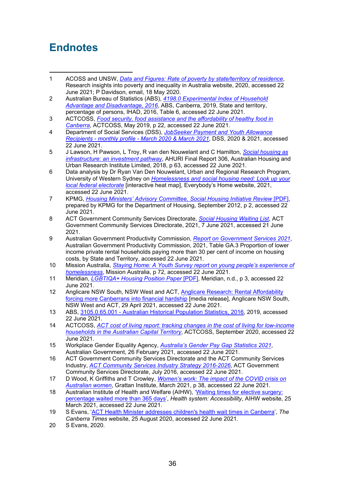### <span id="page-35-0"></span>**Endnotes**

- <span id="page-35-1"></span>1 ACOSS and UNSW, *[Data and Figures: Rate of poverty by state/territory of residence](http://povertyandinequality.acoss.org.au/poverty/rate-of-poverty-by-state-territory-of-residence-of-people/)*, Research insights into poverty and inequality in Australia website, 2020, accessed 22 June 2021; P Davidson, email, 18 May 2020.
- <span id="page-35-2"></span>2 Australian Bureau of Statistics (ABS), *[4198.0 Experimental Index of Household](https://www.abs.gov.au/statistics/people/housing/experimental-index-household-advantage-and-disadvantage/latest-release)  Advantage [and Disadvantage,](https://www.abs.gov.au/statistics/people/housing/experimental-index-household-advantage-and-disadvantage/latest-release) 2016*, ABS, Canberra, 2019, State and territory, percentage of persons, IHAD, 2016, Table 6, accessed 22 June 2021.
- <span id="page-35-3"></span>3 ACTCOSS, *[Food security, food assistance and the affordability of healthy food in](https://www.actcoss.org.au/publications/advocacy-publications/report-food-security-food-assistance-and-affordability-healthy)  [Canberra](https://www.actcoss.org.au/publications/advocacy-publications/report-food-security-food-assistance-and-affordability-healthy)*, ACTCOSS, May 2019, p 22, accessed 22 June 2021.
- <span id="page-35-4"></span>4 Department of Social Services (DSS), *[JobSeeker Payment and Youth Allowance](https://data.gov.au/data/dataset/jobseeker-payment-and-youth-allowance-recipients-monthly-profile)  Recipients - monthly profile - [March 2020 & March 2021](https://data.gov.au/data/dataset/jobseeker-payment-and-youth-allowance-recipients-monthly-profile)*, DSS, 2020 & 2021, accessed 22 June 2021.
- <span id="page-35-5"></span>5 J Lawson, H Pawson, L Troy, R van den Nouwelant and C Hamilton, *[Social housing as](http://www.ahuri.edu.au/research/final-reports/306)  [infrastructure: an investment pathway](http://www.ahuri.edu.au/research/final-reports/306)*, AHURI Final Report 306, Australian Housing and Urban Research Institute Limited, 2018, p 63, accessed 22 June 2021.
- <span id="page-35-6"></span>6 Data analysis by Dr Ryan Van Den Nouwelant, Urban and Regional Research Program, University of Western Sydney on *[Homelessness and social housing](https://everybodyshome.com.au/heat-maps/) need: Look up your [local federal electorate](https://everybodyshome.com.au/heat-maps/)* [interactive heat map], Everybody's Home website, 2021, accessed 22 June 2021.
- <span id="page-35-7"></span>7 KPMG, *[Housing Ministers' Advisory Committee, Social Housing Initiative Review](http://www.nwhn.net.au/admin/file/content101/c6/social_housing_initiative_review.pdf)* [PDF], prepared by KPMG for the Department of Housing, September 2012, p 2, accessed 22 June 2021.
- <span id="page-35-8"></span>8 ACT Government Community Services Directorate, *[Social Housing Waiting List](https://www.communityservices.act.gov.au/hcs/services/social_housing/waiting_lists)*, ACT Government Community Services Directorate, 2021, 7 June 2021, accessed 21 June 2021.
- <span id="page-35-9"></span>9 Australian Government Productivity Commission, *[Report on Government Services](https://www.pc.gov.au/research/ongoing/report-on-government-services/2021/housing-and-homelessness) 2021*, Australian Government Productivity Commission, 2021, Table GA.3 Proportion of lower income private rental households paying more than 30 per cent of income on housing costs, by State and Territory, accessed 22 June 2021.
- <span id="page-35-10"></span>10 Mission Australia, *Staying Home: [A Youth Survey report on young people's experience of](https://www.missionaustralia.com.au/publications/youth-survey)  [homelessness](https://www.missionaustralia.com.au/publications/youth-survey)*, Mission Australia, p 72, accessed 22 June 2021.
- <span id="page-35-11"></span>11 Meridian, *[LGBTIQA+ Housing Position](https://meridianact.org.au/wp-content/uploads/Meridian-LGBTIQA-Housing-Position-Paper.pdf) Paper* [PDF], Meridian, n.d., p 3, accessed 22 June 2021.
- <span id="page-35-12"></span>12 Anglicare NSW South, NSW West and ACT, Anglicare Research: Rental Affordability [forcing more Canberrans into financial hardship](https://www.anglicare.com.au/anglicare-research-rental-affordability-forcing-more-canberrans-into-financial-hardship/) [media release], Anglicare NSW South, NSW West and ACT, 29 April 2021, accessed 22 June 2021.
- <span id="page-35-13"></span>13 ABS, 3105.0.65.001 - [Australian Historical Population Statistics, 2016,](https://www.abs.gov.au/AUSSTATS/abs@.nsf/DetailsPage/3105.0.65.0012016?OpenDocument) 2019, accessed 22 June 2021.
- <span id="page-35-14"></span>14 ACTCOSS, *ACT cost of [living report: tracking changes in the cost of living for low-income](https://www.actcoss.org.au/publications/advocacy-publications/act-cost-living-report-2020#:%7E:text=The%202020%20ACT%20Cost%20of,12%20months%20and%20five%20years.&text=We%20must%20address%20cost%20of,a%20just%20and%20fair%20Canberra.)  [households in the Australian Capital Territory](https://www.actcoss.org.au/publications/advocacy-publications/act-cost-living-report-2020#:%7E:text=The%202020%20ACT%20Cost%20of,12%20months%20and%20five%20years.&text=We%20must%20address%20cost%20of,a%20just%20and%20fair%20Canberra.)*, ACTCOSS, September 2020, accessed 22 June 2021.
- <span id="page-35-15"></span>15 Workplace Gender Equality Agency, *[Australia's Gender Pay Gap Statistics 2021](https://www.wgea.gov.au/publications/australias-gender-pay-gap-statistics)*, Australian Government, 26 February 2021, accessed 22 June 2021.
- <span id="page-35-16"></span>16 ACT Government Community Services Directorate and the ACT Community Services Industry, *[ACT Community Services Industry Strategy 2016-2026](https://www.communityservices.act.gov.au/hcs/community-sector-reform/industry-strategy-2016-2026)*, ACT Government Community Services Directorate, July 2016, accessed 22 June 2021.
- <span id="page-35-17"></span>17 D Wood, K Griffiths and T Crowley, *[Women's work: The impact of the COVID crisis on](https://grattan.edu.au/wp-content/uploads/2021/03/Womens-work-Grattan-Institute-report.pdf)  [Australian women](https://grattan.edu.au/wp-content/uploads/2021/03/Womens-work-Grattan-Institute-report.pdf)*, Grattan Institute, March 2021, p 38, accessed 22 June 2021.
- <span id="page-35-18"></span>18 Australian Institute of Health and Welfare (AIHW), ['Waiting times for elective surgery:](https://www.aihw.gov.au/reports-data/australias-health-performance/australias-health-performance-framework/national/all-australia/access/accessibility)  percentage [waited more than 365 days',](https://www.aihw.gov.au/reports-data/australias-health-performance/australias-health-performance-framework/national/all-australia/access/accessibility) *Health system: Accessibility*, AIHW website, 25 March 2021, accessed 22 June 2021.
- <span id="page-35-19"></span>19 S Evans, ['ACT Health Minister addresses children's health wait times in Canberra'](https://www.canberratimes.com.au/story/6894802/health-services-working-hard-to-address-childrens-health-wait-times/), *The Canberra Times* website, 25 August 2020, accessed 22 June 2021.
- <span id="page-35-20"></span>20 S Evans, 2020.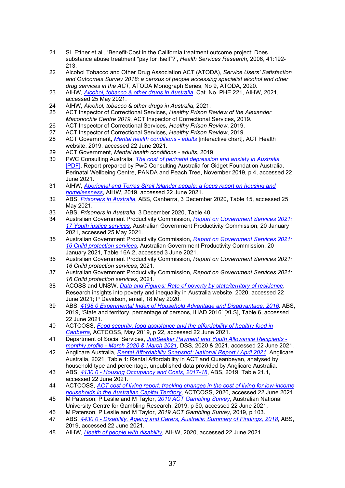- <span id="page-36-0"></span>21 SL Ettner et al., 'Benefit-Cost in the California treatment outcome project: Does substance abuse treatment "pay for itself"?', *Health Services Research*, 2006, 41:192- 213.
- <span id="page-36-1"></span>22 Alcohol Tobacco and Other Drug Association ACT (ATODA), *Service Users' Satisfaction and Outcomes Survey 2018: a census of people accessing specialist alcohol and other drug services in the ACT*, ATODA Monograph Series, No 9, ATODA, 2020.
- <span id="page-36-2"></span>23 AIHW, *[Alcohol, tobacco & other drugs in Australia](https://www.aihw.gov.au/reports/alcohol/alcohol-tobacco-other-drugs-australia/contents/about)*, Cat. No. PHE 221, AIHW, 2021, accessed 25 May 2021.
- <span id="page-36-3"></span>24 AIHW, *Alcohol, tobacco & other drugs in Australia*, 2021.
- <span id="page-36-4"></span>25 ACT Inspector of Correctional Services, *Healthy Prison Review of the Alexander Maconochie Centre 2019*, ACT Inspector of Correctional Services, 2019.
- <span id="page-36-5"></span>26 ACT Inspector of Correctional Services, *Healthy Prison Review*, 2019.
- <span id="page-36-6"></span>27 ACT Inspector of Correctional Services, *Healthy Prison Review*, 2019.
- <span id="page-36-7"></span>28 ACT Government, *[Mental health conditions -](https://www.health.act.gov.au/about-our-health-system/data-and-publications/healthstats/statistics-and-indicators/mental-health) adults* [interactive chart]*,* ACT Health website, 2019, accessed 22 June 2021.
- <span id="page-36-8"></span>29 ACT Government, *Mental health conditions - adults*, 2019.
- <span id="page-36-9"></span>30 PWC Consulting Australia, *[The cost of perinatal depression and anxiety in Australia](https://www.perinatalwellbeingcentre.org.au/Handlers/Download.ashx?IDMF=53aab8d3-c748-4818-abab-32a58d3c510f)* [\[PDF\],](https://www.perinatalwellbeingcentre.org.au/Handlers/Download.ashx?IDMF=53aab8d3-c748-4818-abab-32a58d3c510f) Report prepared by PwC Consulting Australia for Gidget Foundation Australia, Perinatal Wellbeing Centre, PANDA and Peach Tree, November 2019, p 4, accessed 22 June 2021.
- <span id="page-36-10"></span>31 AIHW, *[Aboriginal and Torres Strait Islander people: a focus report](https://www.aihw.gov.au/reports/housing-assistance/indigenous-people-focus-housing-homelessness/data) on housing and [homelessness](https://www.aihw.gov.au/reports/housing-assistance/indigenous-people-focus-housing-homelessness/data)*, AIHW, 2019, [accessed](https://www.aihw.gov.au/reports/housing-assistance/indigenous-people-focus-housing-homelessness/data) 22 June 2021.
- <span id="page-36-11"></span>32 ABS, *[Prisoners in Australia](https://www.abs.gov.au/statistics/people/crime-and-justice/prisoners-australia/latest-release)*, ABS, Canberra, 3 December 2020, Table 15, accessed 25 May 2021.
- <span id="page-36-12"></span>33 ABS, *Prisoners in Australia*, 3 December 2020, Table 40.
- <span id="page-36-13"></span>34 Australian Government Productivity Commission, *[Report on Government Services 2021:](https://www.pc.gov.au/research/ongoing/report-on-government-services/2021/community-services/youth-justice)  17 [Youth justice](https://www.pc.gov.au/research/ongoing/report-on-government-services/2021/community-services/youth-justice) services*, Australian Government Productivity Commission, 20 January 2021, accessed 25 May 2021.
- <span id="page-36-14"></span>35 Australian Government Productivity Commission*, [Report on Government Services 2021:](https://www.pc.gov.au/research/ongoing/report-on-government-services/2021/community-services/child-protection)  [16 Child protection services](https://www.pc.gov.au/research/ongoing/report-on-government-services/2021/community-services/child-protection)*, Australian Government Productivity Commission, 20 January 2021, Table 16A.2, accessed 3 June 2021.
- <span id="page-36-15"></span>36 Australian Government Productivity Commission*, Report on Government Services 2021: 16 Child protection services*, 2021.
- <span id="page-36-16"></span>37 Australian Government Productivity Commission*, Report on Government Services 2021: 16 Child protection services*, 2021.
- <span id="page-36-17"></span>38 ACOSS and UNSW, *[Data and Figures: Rate of poverty by state/territory of residence](http://povertyandinequality.acoss.org.au/poverty/rate-of-poverty-by-state-territory-of-residence-of-people/)*, Research insights into poverty and inequality in Australia website, 2020, accessed 22 June 2021; P Davidson, email, 18 May 2020.
- <span id="page-36-18"></span>39 ABS, *4198.0 [Experimental Index of Household Advantage and Disadvantage, 2016,](https://www.abs.gov.au/statistics/people/housing/experimental-index-household-advantage-and-disadvantage/latest-release)* ABS, 2019, 'State and territory, percentage of persons, IHAD 2016' [XLS], Table 6, accessed 22 June 2021.
- <span id="page-36-19"></span>40 ACTCOSS, *[Food security, food assistance and the affordability of healthy food in](https://www.actcoss.org.au/publications/advocacy-publications/report-food-security-food-assistance-and-affordability-healthy)  [Canberra](https://www.actcoss.org.au/publications/advocacy-publications/report-food-security-food-assistance-and-affordability-healthy)*, ACTCOSS, May 2019, p 22, accessed 22 June 2021.
- <span id="page-36-20"></span>41 Department of Social Services, *[JobSeeker Payment and Youth Allowance Recipients](https://data.gov.au/data/dataset/jobseeker-payment-and-youth-allowance-recipients-monthly-profile)  monthly profile - [March 2020 & March 2021](https://data.gov.au/data/dataset/jobseeker-payment-and-youth-allowance-recipients-monthly-profile)*, DSS, 2020 & 2021, accessed 22 June 2021.
- <span id="page-36-21"></span>42 Anglicare Australia, *[Rental Affordability Snapshot:](https://anglicare-ras.com/the-findings/) National Report / April 2021*, Anglicare Australia, 2021, Table 1: Rental Affordability in ACT and Queanbeyan, analysed by household type and percentage, unpublished data provided by Anglicare Australia.
- <span id="page-36-22"></span>43 ABS, *4130.0 - [Housing Occupancy and Costs, 2017-18](https://www.abs.gov.au/ausstats/abs@.nsf/mf/4130.0)*, ABS, 2019, Table 21.1, accessed 22 June 2021.
- <span id="page-36-23"></span>44 ACTCOSS, *[ACT cost of living report: tracking changes in the cost of living for low-income](https://www.actcoss.org.au/publications/advocacy-publications/act-cost-living-report-2020)  [households in the Australian Capital Territory](https://www.actcoss.org.au/publications/advocacy-publications/act-cost-living-report-2020)*, ACTCOSS, 2020, accessed 22 June 2021.
- <span id="page-36-24"></span>45 M Paterson, P Leslie and M Taylor, *[2019 ACT Gambling Survey](https://csrm.cass.anu.edu.au/centres/cgr/2019-act-gambling-survey)*, Australian National University Centre for Gambling Research, 2019, p 50, accessed 22 June 2021.
- <span id="page-36-25"></span>46 M Paterson, P Leslie and M Taylor, *2019 ACT Gambling Survey*, 2019, p 103.
- <span id="page-36-26"></span>47 ABS, *4430.0 - [Disability, Ageing and Carers, Australia: Summary of Findings, 2018](https://www.abs.gov.au/ausstats/abs@.nsf/Latestproducts/4430.0Main%20Features52018)*, ABS, 2019, accessed 22 June 2021.
- <span id="page-36-27"></span>48 AIHW, *[Health of people with disability](https://www.aihw.gov.au/reports/australias-health/health-of-people-with-disability)*, AIHW, 2020, accessed 22 June 2021.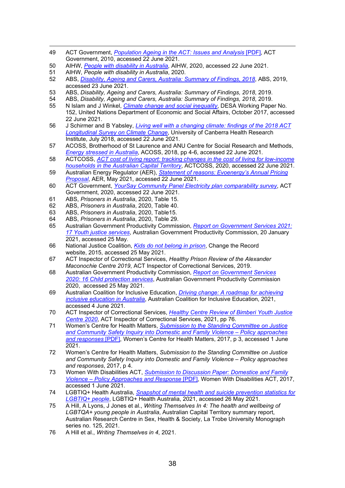- <span id="page-37-0"></span>49 ACT Government, *[Population Ageing in the ACT: Issues and Analysis](http://www.cmd.act.gov.au/__data/assets/pdf_file/0019/154162/population-ageing-ACT.pdf)* [PDF], ACT Government, 2010, accessed 22 June 2021.
- <span id="page-37-1"></span>50 AIHW, *[People with disability in Australia](https://www.aihw.gov.au/reports/disability/people-with-disability-in-australia/contents/justice-and-safety/violence-against-people-with-disability)*, AIHW, 2020, accessed 22 June 2021.
- <span id="page-37-2"></span>51 AIHW, *People with disability in Australia*, 2020.
- <span id="page-37-3"></span>52 ABS, *[Disability, Ageing and Carers, Australia: Summary of Findings,](https://www.abs.gov.au/statistics/health/disability/disability-ageing-and-carers-australia-summary-findings/latest-release) 2018*, ABS, 2019, accessed 23 June 2021.
- <span id="page-37-4"></span>53 ABS, *Disability, Ageing and Carers, Australia: Summary of Findings, 2018*, 2019.
- <span id="page-37-6"></span><span id="page-37-5"></span>54 ABS, *Disability, Ageing and Carers, Australia: Summary of Findings, 2018*, 2019.
- 55 N Islam and J Winkel, *[Climate change and social inequality](https://www.un.org/en/desa/climate-change-and-social-inequality)*, DESA Working Paper No. 152, United Nations Department of Economic and Social Affairs, October 2017, accessed 22 June 2021.
- <span id="page-37-7"></span>56 J Schirmer and B Yabsley, *[Living well with a changing climate: findings of the 2018 ACT](https://www.environment.act.gov.au/__data/assets/pdf_file/0019/1316521/Longitudinal-Survey-ACT-Resilience-to-Climate-Change-Report.pdf)  [Longitudinal Survey on Climate Change](https://www.environment.act.gov.au/__data/assets/pdf_file/0019/1316521/Longitudinal-Survey-ACT-Resilience-to-Climate-Change-Report.pdf)*, University of Canberra Health Research Institute, July 2018, accessed 22 June 2021.
- <span id="page-37-8"></span>57 ACOSS, Brotherhood of St Laurence and ANU Centre for Social Research and Methods, *[Energy stressed in Australia](https://www.acoss.org.au/wp-content/uploads/2018/10/Energy-Stressed-in-Australia.pdf)*, ACOSS, 2018, pp 4-6, accessed 22 June 2021.
- <span id="page-37-9"></span>58 ACTCOSS, *[ACT cost of living report: tracking changes in the cost of living for low-income](https://www.actcoss.org.au/publications/advocacy-publications/act-cost-living-report-2020)  [households in the Australian Capital Territory](https://www.actcoss.org.au/publications/advocacy-publications/act-cost-living-report-2020)*, ACTCOSS, 2020, accessed 22 June 2021.
- <span id="page-37-10"></span>59 Australian Energy Regulator (AER), *[Statement of reasons: Evoenergy's Annual Pricing](https://www.aer.gov.au/networks-pipelines/determinations-access-arrangements/pricing-proposals-tariffs/evoenergy-annual-pricing-2021-22#:%7E:text=On%207%20May%202021%2C%20the,Evoenergy%20%2D%20Determination%202019%2D24.)  [Proposal](https://www.aer.gov.au/networks-pipelines/determinations-access-arrangements/pricing-proposals-tariffs/evoenergy-annual-pricing-2021-22#:%7E:text=On%207%20May%202021%2C%20the,Evoenergy%20%2D%20Determination%202019%2D24.)*, AER, May 2021, accessed 22 June 2021.
- <span id="page-37-11"></span>60 ACT Government, *YourSay [Community Panel Electricity plan comparability survey](https://www.icrc.act.gov.au/energy/electricity/retail-electricity-prices-2020-24)*, ACT Government, 2020, accessed 22 June 2021.
- <span id="page-37-12"></span>61 ABS, *Prisoners in Australia*, 2020, Table 15.
- <span id="page-37-13"></span>62 ABS, *Prisoners in Australia*, 2020, Table 40.
- <span id="page-37-14"></span>63 ABS, *Prisoners in Australia*, 2020, Table15.
- <span id="page-37-15"></span>64 ABS, *Prisoners in Australia*, 2020, Table 29.
- <span id="page-37-16"></span>65 Australian Government Productivity Commission, *[Report on Government Services 2021:](https://www.pc.gov.au/research/ongoing/report-on-government-services/2021/community-services/youth-justice)  [17 Youth justice](https://www.pc.gov.au/research/ongoing/report-on-government-services/2021/community-services/youth-justice) services*, Australian Government Productivity Commission, 20 January 2021, accessed 25 May.
- <span id="page-37-17"></span>66 National Justice Coalition, *[Kids do not belong in prison](https://changetherecord.org.au/RaiseTheAge)*, Change the Record website, 2015, accessed 25 May 2021.
- <span id="page-37-18"></span>67 ACT Inspector of Correctional Services, *Healthy Prison Review of the Alexander Maconochie Centre 2019*, ACT Inspector of Correctional Services, 2019.
- <span id="page-37-19"></span>68 Australian Government Productivity Commission, *[Report on Government Services](https://www.pc.gov.au/research/ongoing/report-on-government-services/2020/community-services/child-protection) 2020: [16 Child protection services](https://www.pc.gov.au/research/ongoing/report-on-government-services/2020/community-services/child-protection)*, Australian Government Productivity Commission 2020, accessed 25 May 2021.
- <span id="page-37-20"></span>69 Australian Coalition for Inclusive Education, *[Driving change: A roadmap for achieving](https://acie105204494.files.wordpress.com/2021/02/acie-roadmap-final-11-feb-2021.pdf)  [inclusive education in](https://acie105204494.files.wordpress.com/2021/02/acie-roadmap-final-11-feb-2021.pdf) Australia*, Australian Coalition for Inclusive Education, 2021, accessed 4 June 2021.
- <span id="page-37-21"></span>70 ACT Inspector of Correctional Services, *[Healthy Centre Review of Bimberi Youth Justice](https://www.ics.act.gov.au/reports-and-publications/healthy-prison-reviews/healthy-prison-reviews/healthy-centre-review-of-bimberi-youth-justice-centre)  [Centre 2020](https://www.ics.act.gov.au/reports-and-publications/healthy-prison-reviews/healthy-prison-reviews/healthy-centre-review-of-bimberi-youth-justice-centre)*, ACT Inspector of Correctional Services, 2021, pp 76.
- <span id="page-37-22"></span>71 Women's Centre for Health Matters, *[Submission to the Standing Committee on Justice](https://www.wchm.org.au/wp-content/uploads/2017/11/WCHM-Submission-to-the-Standing-Committee-on-Justice-and-Community-Safety-Inquiry-into-Domestic-and-Family-Violence.pdf.)  [and Community Safety Inquiry into Domestic and Family Violence –](https://www.wchm.org.au/wp-content/uploads/2017/11/WCHM-Submission-to-the-Standing-Committee-on-Justice-and-Community-Safety-Inquiry-into-Domestic-and-Family-Violence.pdf.) Policy approaches [and responses](https://www.wchm.org.au/wp-content/uploads/2017/11/WCHM-Submission-to-the-Standing-Committee-on-Justice-and-Community-Safety-Inquiry-into-Domestic-and-Family-Violence.pdf.)* [PDF], Women's Centre for Health Matters, 2017, p 3, accessed 1 June 2021.
- <span id="page-37-23"></span>72 Women's Centre for Health Matters, *Submission to the Standing Committee on Justice and Community Safety Inquiry into Domestic and Family Violence – Policy approaches and responses*, 2017, p 4.
- <span id="page-37-24"></span>73 Women With Disabilities ACT, *[Submission to Discussion Paper:](https://www.wwdact.org.au/wp-content/uploads/2018/04/20170922_Ad_DFV-Submission.pdf) Domestice and Family Violence – [Policy Approaches and Response](https://www.wwdact.org.au/wp-content/uploads/2018/04/20170922_Ad_DFV-Submission.pdf)* [PDF], Women With Disabilities ACT, 2017, accessed 1 June 2021.
- <span id="page-37-25"></span>74 LGBTIQ+ Health Australia, *[Snapshot of mental health and suicide prevention statistics for](https://d3n8a8pro7vhmx.cloudfront.net/lgbtihealth/pages/549/attachments/original/1620871703/2021_Snapshot_of_Mental_Health2.pdf?1620871703)  [LGBTIQ+ people](https://d3n8a8pro7vhmx.cloudfront.net/lgbtihealth/pages/549/attachments/original/1620871703/2021_Snapshot_of_Mental_Health2.pdf?1620871703)*, LGBTIQ+ Health Australia, 2021, accessed 26 May 2021.
- <span id="page-37-26"></span>75 A Hill, A Lyons, J Jones et al., *Writing Themselves In 4: The health and wellbeing of LGBTQA+ young people in Australia*, Australian Capital Territory summary report, Australian Research Centre in Sex, Health & Society, La Trobe University Monograph series no. 125, 2021.
- <span id="page-37-27"></span>76 A Hill et al., *Writing Themselves in 4*, 2021.